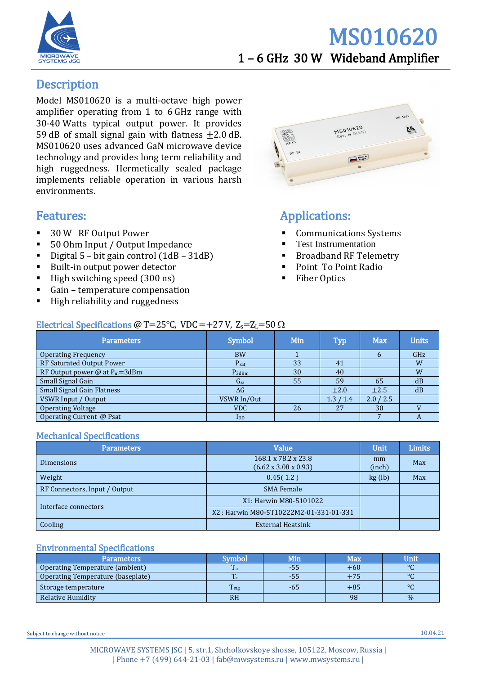

## MS010620 1 – 6 GHz 30 W Wideband Amplifier

## **Description**

Model MS010620 is a multi-octave high power amplifier operating from 1 to 6 GHz range with 30-40 Watts typical output power. It provides 59 dB of small signal gain with flatness  $\pm 2.0$  dB. MS010620 uses advanced GaN microwave device technology and provides long term reliability and high ruggedness. Hermetically sealed package implements reliable operation in various harsh environments.

### Features:

- 30 W RF Output Power
- 50 Ohm Input / Output Impedance
- Digital 5 bit gain control  $(1dB 31dB)$
- Built-in output power detector
- $\blacksquare$  High switching speed (300 ns)
- Gain temperature compensation
- High reliability and ruggedness



## Applications:

- Communications Systems
- **Test Instrumentation**
- **Broadband RF Telemetry**
- Point To Point Radio
- **Fiber Optics**

#### Electrical Specifications @ T=25°C, VDC =+27 V,  $Z_s$ = $Z_L$ =50  $\Omega$

| <b>Parameters</b>                    | <b>Symbol</b>              | Min | <b>Typ</b>  | <b>Max</b> | <b>Units</b> |
|--------------------------------------|----------------------------|-----|-------------|------------|--------------|
| <b>Operating Frequency</b>           | <b>BW</b>                  |     |             | b          | GHz          |
| RF Saturated Output Power            | $P_{sat}$                  | 33  | 41          |            | W            |
| RF Output power $@$ at $P_{in}=3dBm$ | $P_{3dBm}$                 | 30  | 40          |            | W            |
| Small Signal Gain                    | $G_{SS}$                   | 55  | 59          | 65         | dB           |
| <b>Small Signal Gain Flatness</b>    | $\Delta G$                 |     | $\pm 2.0$   | $\pm 2.5$  | dB           |
| VSWR Input / Output                  | VSWR In/Out                |     | 1.3<br>/1.4 | 2.0 / 2.5  |              |
| <b>Operating Voltage</b>             | <b>VDC</b>                 | 26  | 27          | 30         |              |
| Operating Current @ Psat             | $\mathbf{I}_{\mathrm{DD}}$ |     |             |            | A            |

#### Mechanical Specifications

| <b>Parameters</b>             | Value                                                   | Unit                | <b>Limits</b> |
|-------------------------------|---------------------------------------------------------|---------------------|---------------|
| Dimensions                    | 168.1 x 78.2 x 23.8<br>$(6.62 \times 3.08 \times 0.93)$ | mm<br>Max<br>(inch) |               |
| Weight                        | 0.45(1.2)<br>kg (lb)                                    |                     | Max           |
| RF Connectors, Input / Output | <b>SMA Female</b>                                       |                     |               |
| Interface connectors          | X1: Harwin M80-5101022                                  |                     |               |
|                               | X2: Harwin M80-5T10222M2-01-331-01-331                  |                     |               |
| Cooling                       | <b>External Heatsink</b>                                |                     |               |

#### Environmental Specifications

| <b>Parameters</b>                 | Symbol           | Min | Max   | Unit    |
|-----------------------------------|------------------|-----|-------|---------|
| Operating Temperature (ambient)   | $\mathbf{r}$     | -55 | $+60$ | $\circ$ |
| Operating Temperature (baseplate) | $\mathbf{r}$     | -55 | $+75$ | $\circ$ |
| Storage temperature               | T <sub>stg</sub> | -65 | $+85$ | $\circ$ |
| Relative Humidity                 | <b>RH</b>        |     | 98    | $\%$    |

Subject to change without notice 10.04.21